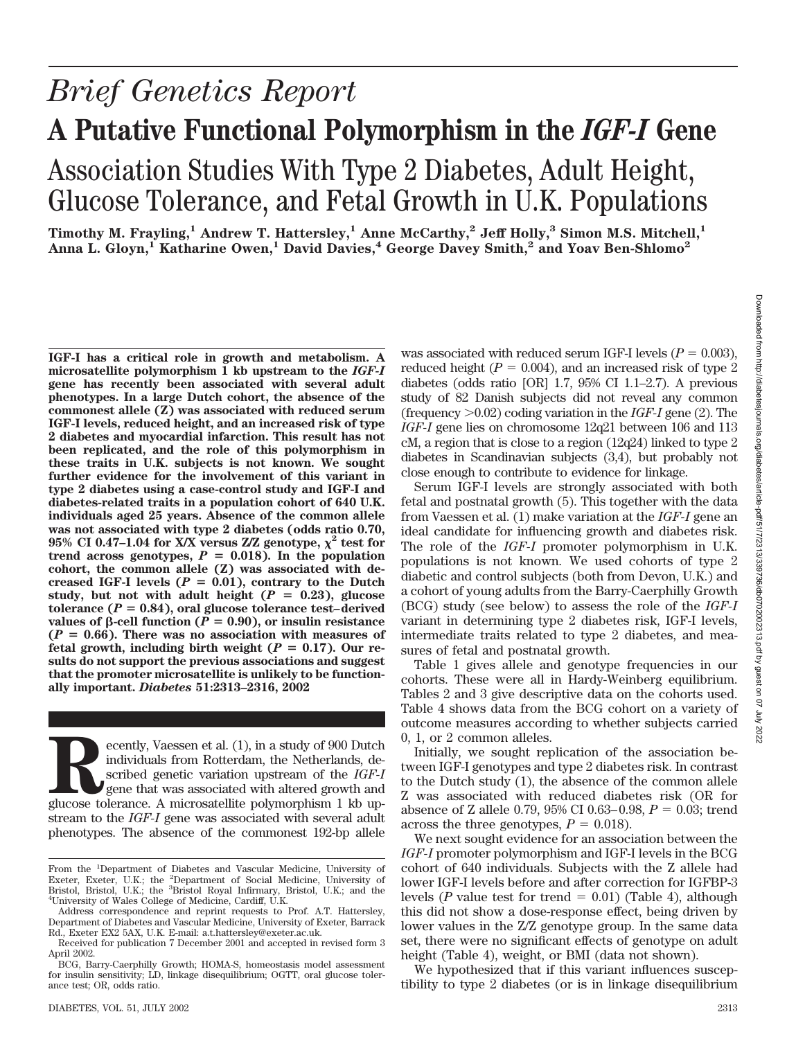## *Brief Genetics Report* **A Putative Functional Polymorphism in the** *IGF-I* **Gene** Association Studies With Type 2 Diabetes, Adult Height, Glucose Tolerance, and Fetal Growth in U.K. Populations

**Timothy M. Frayling,1 Andrew T. Hattersley,1 Anne McCarthy,2 Jeff Holly,3 Simon M.S. Mitchell,1** Anna L. Gloyn,<sup>1</sup> Katharine Owen,<sup>1</sup> David Davies,<sup>4</sup> George Davey Smith,<sup>2</sup> and Yoav Ben-Shlomo<sup>2</sup>

**Recently, Vaessen et al. (1), in a study of 900 Dutch**<br>
individuals from Rotterdam, the Netherlands, de-<br>
scribed genetic variation upstream of the *IGF-I*<br>
gene that was associated with altered growth and<br>
glucose tolera individuals from Rotterdam, the Netherlands, described genetic variation upstream of the *IGF-I* gene that was associated with altered growth and stream to the *IGF-I* gene was associated with several adult phenotypes. The absence of the commonest 192-bp allele was associated with reduced serum IGF-I levels  $(P = 0.003)$ , reduced height  $(P = 0.004)$ , and an increased risk of type 2 diabetes (odds ratio [OR] 1.7, 95% CI 1.1–2.7). A previous study of 82 Danish subjects did not reveal any common (frequency -0.02) coding variation in the *IGF-I* gene (2). The *IGF-I* gene lies on chromosome 12q21 between 106 and 113 cM, a region that is close to a region (12q24) linked to type 2 diabetes in Scandinavian subjects (3,4), but probably not close enough to contribute to evidence for linkage.

Serum IGF-I levels are strongly associated with both fetal and postnatal growth (5). This together with the data from Vaessen et al. (1) make variation at the *IGF-I* gene an ideal candidate for influencing growth and diabetes risk. The role of the *IGF-I* promoter polymorphism in U.K. populations is not known. We used cohorts of type 2 diabetic and control subjects (both from Devon, U.K.) and a cohort of young adults from the Barry-Caerphilly Growth (BCG) study (see below) to assess the role of the *IGF-I* variant in determining type 2 diabetes risk, IGF-I levels, intermediate traits related to type 2 diabetes, and measures of fetal and postnatal growth.

Table 1 gives allele and genotype frequencies in our cohorts. These were all in Hardy-Weinberg equilibrium. Tables 2 and 3 give descriptive data on the cohorts used. Table 4 shows data from the BCG cohort on a variety of outcome measures according to whether subjects carried 0, 1, or 2 common alleles.

Initially, we sought replication of the association between IGF-I genotypes and type 2 diabetes risk. In contrast to the Dutch study (1), the absence of the common allele Z was associated with reduced diabetes risk (OR for absence of Z allele 0.79, 95% CI 0.63–0.98,  $P = 0.03$ ; trend across the three genotypes,  $P = 0.018$ .

We next sought evidence for an association between the *IGF-I* promoter polymorphism and IGF-I levels in the BCG cohort of 640 individuals. Subjects with the Z allele had lower IGF-I levels before and after correction for IGFBP-3 levels (*P* value test for trend  $= 0.01$ ) (Table 4), although this did not show a dose-response effect, being driven by lower values in the Z/Z genotype group. In the same data set, there were no significant effects of genotype on adult height (Table 4), weight, or BMI (data not shown).

We hypothesized that if this variant influences susceptibility to type 2 diabetes (or is in linkage disequilibrium

**IGF-I has a critical role in growth and metabolism. A microsatellite polymorphism 1 kb upstream to the** *IGF-I* **gene has recently been associated with several adult phenotypes. In a large Dutch cohort, the absence of the commonest allele (Z) was associated with reduced serum IGF-I levels, reduced height, and an increased risk of type 2 diabetes and myocardial infarction. This result has not been replicated, and the role of this polymorphism in these traits in U.K. subjects is not known. We sought further evidence for the involvement of this variant in type 2 diabetes using a case-control study and IGF-I and diabetes-related traits in a population cohort of 640 U.K. individuals aged 25 years. Absence of the common allele was not associated with type 2 diabetes (odds ratio 0.70, 95% CI 0.47–1.04 for X/X versus Z/Z genotype,**  $\chi^2$  test for trend across genotypes,  $P = 0.018$ ). In the population **cohort, the common allele (Z) was associated with de**creased IGF-I levels  $(P = 0.01)$ , contrary to the Dutch study, but not with adult height  $(P = 0.23)$ , glucose  $\text{tolerance } (P = 0.84), \text{ oral glucose tolerance test–derived}$ values of  $\beta$ -cell function ( $P = 0.90$ ), or insulin resistance  $(P = 0.66)$ . There was no association with measures of fetal growth, including birth weight  $(P = 0.17)$ . Our re**sults do not support the previous associations and suggest that the promoter microsatellite is unlikely to be functionally important.** *Diabetes* **51:2313–2316, 2002**

From the <sup>1</sup>Department of Diabetes and Vascular Medicine, University of Exeter, Exeter, U.K.; the <sup>2</sup>Department of Social Medicine, University of Bristol, U.K.; the <sup>3</sup>Bristol Royal Infirmary, Bristol, U.K.; and the  $\frac{4I}{I}$  Iniversity of Wales College of Medicine Cardiff II K University of Wales College of Medicine, Cardiff, U.K.

Address correspondence and reprint requests to Prof. A.T. Hattersley, Department of Diabetes and Vascular Medicine, University of Exeter, Barrack Rd., Exeter EX2 5AX, U.K. E-mail: a.t.hattersley@exeter.ac.uk.

Received for publication 7 December 2001 and accepted in revised form 3 April 2002.

BCG, Barry-Caerphilly Growth; HOMA-S, homeostasis model assessment for insulin sensitivity; LD, linkage disequilibrium; OGTT, oral glucose tolerance test; OR, odds ratio.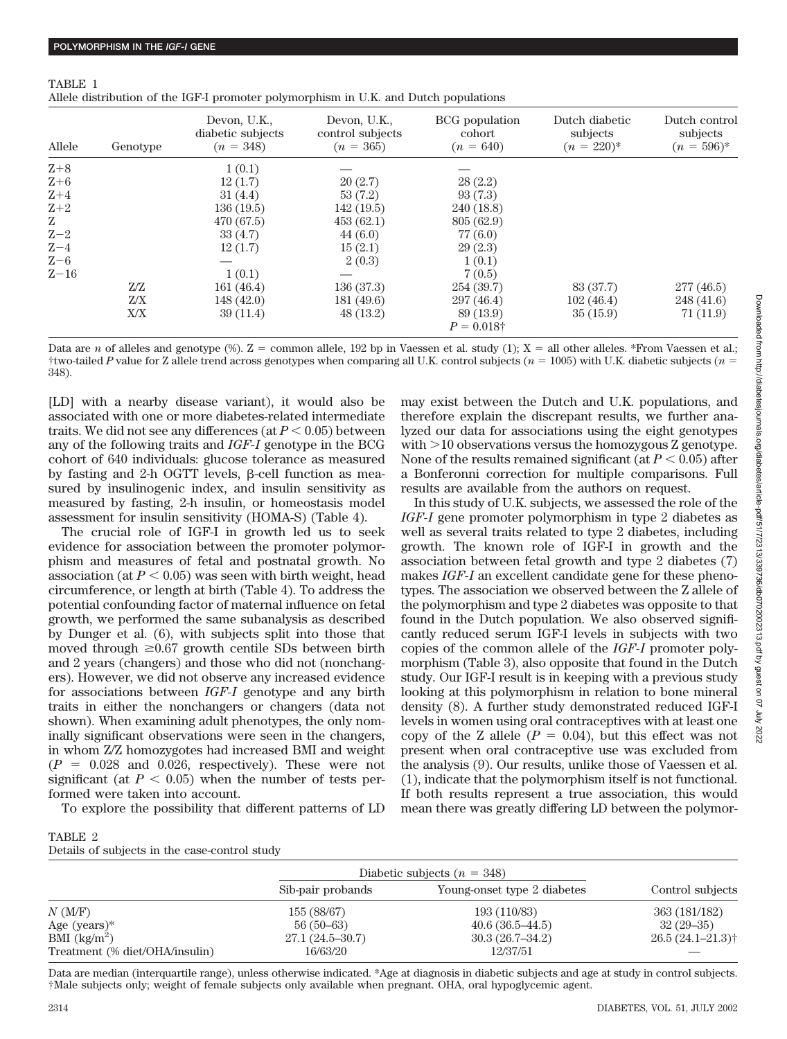| Allele  | Genotype | Devon, U.K.,<br>diabetic subjects<br>$(n = 348)$ | Devon, U.K.,<br>control subjects<br>$(n = 365)$ | BCG population<br>cohort<br>$(n = 640)$ | Dutch diabetic<br>subjects<br>$(n = 220)^{*}$ | Dutch control<br>subjects<br>$(n = 596)^{*}$ |
|---------|----------|--------------------------------------------------|-------------------------------------------------|-----------------------------------------|-----------------------------------------------|----------------------------------------------|
| $Z+8$   |          | 1(0.1)                                           |                                                 |                                         |                                               |                                              |
| $Z+6$   |          | 12(1.7)                                          | 20(2.7)                                         | 28(2.2)                                 |                                               |                                              |
| $Z+4$   |          | 31(4.4)                                          | 53(7.2)                                         | 93(7.3)                                 |                                               |                                              |
| $Z+2$   |          | 136(19.5)                                        | 142(19.5)                                       | 240 (18.8)                              |                                               |                                              |
| Z       |          | 470 (67.5)                                       | 453(62.1)                                       | 805 (62.9)                              |                                               |                                              |
| $Z-2$   |          | 33(4.7)                                          | 44(6.0)                                         | 77 (6.0)                                |                                               |                                              |
| $Z - 4$ |          | 12(1.7)                                          | 15(2.1)                                         | 29(2.3)                                 |                                               |                                              |
| $Z-6$   |          |                                                  | 2(0.3)                                          | 1(0.1)                                  |                                               |                                              |
| $Z-16$  |          | 1(0.1)                                           |                                                 | 7(0.5)                                  |                                               |                                              |
|         | Z/Z      | 161(46.4)                                        | 136(37.3)                                       | 254 (39.7)                              | 83 (37.7)                                     | 277(46.5)                                    |
|         | Z/X      | 148(42.0)                                        | 181 (49.6)                                      | 297(46.4)                               | 102(46.4)                                     | 248 (41.6)                                   |
|         | X/X      | 39(11.4)                                         | 48(13.2)                                        | 89 (13.9)                               | 35(15.9)                                      | 71(11.9)                                     |
|         |          |                                                  |                                                 | $P = 0.018\dagger$                      |                                               |                                              |

TABLE 1 Allele distribution of the IGF-I promoter polymorphism in U.K. and Dutch populations

Data are *n* of alleles and genotype (%).  $Z =$  common allele, 192 bp in Vaessen et al. study (1);  $X =$  all other alleles. \*From Vaessen et al.; †two-tailed *P* value for Z allele trend across genotypes when comparing all U.K. control subjects ( $n = 1005$ ) with U.K. diabetic subjects ( $n = 1005$ ) 348).

[LD] with a nearby disease variant), it would also be associated with one or more diabetes-related intermediate traits. We did not see any differences (at  $P < 0.05$ ) between any of the following traits and *IGF-I* genotype in the BCG cohort of 640 individuals: glucose tolerance as measured by fasting and 2-h OGTT levels, B-cell function as measured by insulinogenic index, and insulin sensitivity as measured by fasting, 2-h insulin, or homeostasis model assessment for insulin sensitivity (HOMA-S) (Table 4).

The crucial role of IGF-I in growth led us to seek evidence for association between the promoter polymorphism and measures of fetal and postnatal growth. No association (at  $P < 0.05$ ) was seen with birth weight, head circumference, or length at birth (Table 4). To address the potential confounding factor of maternal influence on fetal growth, we performed the same subanalysis as described by Dunger et al. (6), with subjects split into those that moved through  $\geq 0.67$  growth centile SDs between birth and 2 years (changers) and those who did not (nonchangers). However, we did not observe any increased evidence for associations between *IGF-I* genotype and any birth traits in either the nonchangers or changers (data not shown). When examining adult phenotypes, the only nominally significant observations were seen in the changers, in whom Z/Z homozygotes had increased BMI and weight  $(P = 0.028$  and 0.026, respectively). These were not significant (at  $P < 0.05$ ) when the number of tests performed were taken into account.

To explore the possibility that different patterns of LD

may exist between the Dutch and U.K. populations, and therefore explain the discrepant results, we further analyzed our data for associations using the eight genotypes with -10 observations versus the homozygous Z genotype. None of the results remained significant (at  $P < 0.05$ ) after a Bonferonni correction for multiple comparisons. Full results are available from the authors on request.

In this study of U.K. subjects, we assessed the role of the *IGF-I* gene promoter polymorphism in type 2 diabetes as well as several traits related to type 2 diabetes, including growth. The known role of IGF-I in growth and the association between fetal growth and type 2 diabetes (7) makes *IGF-I* an excellent candidate gene for these phenotypes. The association we observed between the Z allele of the polymorphism and type 2 diabetes was opposite to that found in the Dutch population. We also observed significantly reduced serum IGF-I levels in subjects with two copies of the common allele of the *IGF-I* promoter polymorphism (Table 3), also opposite that found in the Dutch study. Our IGF-I result is in keeping with a previous study looking at this polymorphism in relation to bone mineral density (8). A further study demonstrated reduced IGF-I levels in women using oral contraceptives with at least one copy of the Z allele  $(P = 0.04)$ , but this effect was not present when oral contraceptive use was excluded from the analysis (9). Our results, unlike those of Vaessen et al. (1), indicate that the polymorphism itself is not functional. If both results represent a true association, this would mean there was greatly differing LD between the polymor-

| TABLE 2 |  |  |                                               |  |
|---------|--|--|-----------------------------------------------|--|
|         |  |  | Details of subjects in the case-control study |  |

|                                |                   | Diabetic subjects $(n = 348)$ |                     |
|--------------------------------|-------------------|-------------------------------|---------------------|
|                                | Sib-pair probands | Young-onset type 2 diabetes   | Control subjects    |
| N(M/F)                         | 155 (88/67)       | 193 (110/83)                  | 363 (181/182)       |
| Age $(years)*$                 | $56(50-63)$       | $40.6(36.5-44.5)$             | $32(29-35)$         |
| BMI $(kg/m^2)$                 | $27.1(24.5-30.7)$ | $30.3(26.7-34.2)$             | $26.5(24.1 - 21.3)$ |
| Treatment (% diet/OHA/insulin) | 16/63/20          | 12/37/51                      |                     |

Data are median (interquartile range), unless otherwise indicated. \*Age at diagnosis in diabetic subjects and age at study in control subjects. †Male subjects only; weight of female subjects only available when pregnant. OHA, oral hypoglycemic agent.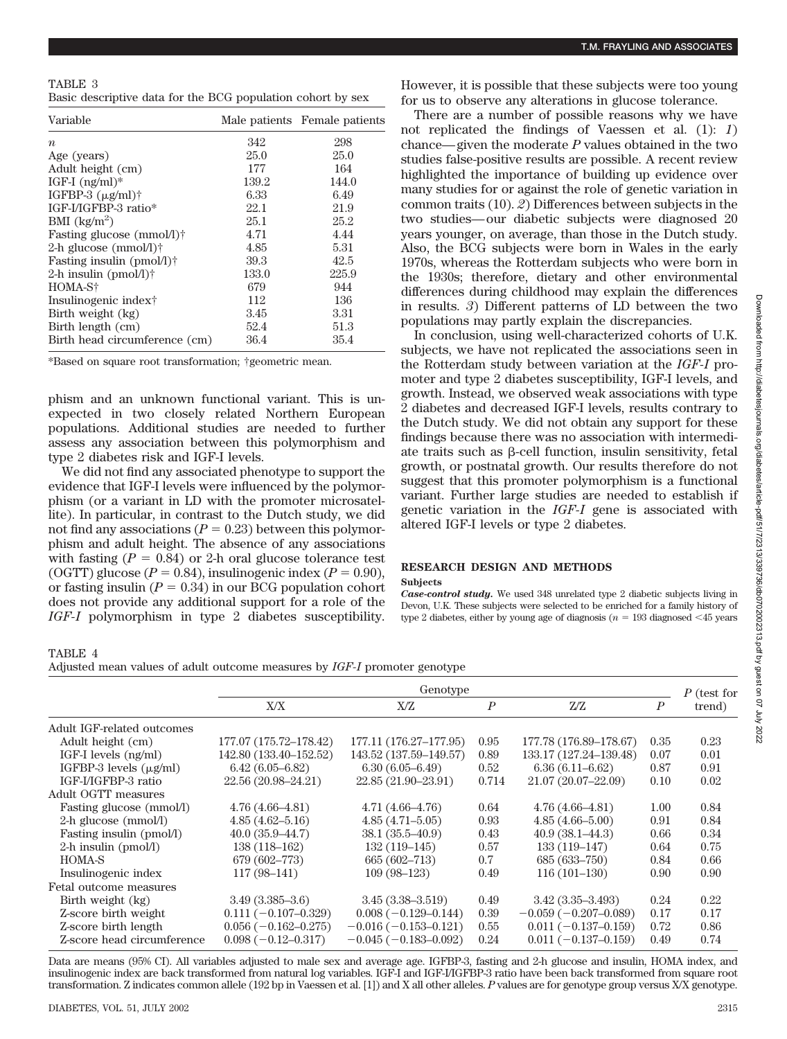| TABLE 3                                                     |  |
|-------------------------------------------------------------|--|
| Basic descriptive data for the BCG population cohort by sex |  |

| Variable                                |       | Male patients Female patients |
|-----------------------------------------|-------|-------------------------------|
| $\boldsymbol{n}$                        | 342   | 298                           |
| Age (years)                             | 25.0  | 25.0                          |
| Adult height (cm)                       | 177   | 164                           |
| IGF-I $(ng/ml)^*$                       | 139.2 | 144.0                         |
| IGFBP-3 $(\mu$ g/ml)†                   | 6.33  | 6.49                          |
| IGF-I/IGFBP-3 ratio*                    | 22.1  | 21.9                          |
| BMI $\frac{\text{kg}}{\text{m}^2}$      | 25.1  | 25.2                          |
| Fasting glucose (mmol/l) <sup>†</sup>   | 4.71  | 4.44                          |
| 2-h glucose $(mmol/l)$ †                | 4.85  | 5.31                          |
| Fasting insulin $(pmol/l)$ <sup>+</sup> | 39.3  | 42.5                          |
| 2-h insulin $(pmol/l)$ †                | 133.0 | 225.9                         |
| HOMA-S†                                 | 679   | 944                           |
| Insulinogenic index†                    | 112   | 136                           |
| Birth weight (kg)                       | 3.45  | 3.31                          |
| Birth length (cm)                       | 52.4  | 51.3                          |
| Birth head circumference (cm)           | 36.4  | 35.4                          |

\*Based on square root transformation; †geometric mean.

phism and an unknown functional variant. This is unexpected in two closely related Northern European populations. Additional studies are needed to further assess any association between this polymorphism and type 2 diabetes risk and IGF-I levels.

We did not find any associated phenotype to support the evidence that IGF-I levels were influenced by the polymorphism (or a variant in LD with the promoter microsatellite). In particular, in contrast to the Dutch study, we did not find any associations  $(P = 0.23)$  between this polymorphism and adult height. The absence of any associations with fasting  $(P = 0.84)$  or 2-h oral glucose tolerance test (OGTT) glucose ( $P = 0.84$ ), insulinogenic index ( $P = 0.90$ ), or fasting insulin  $(P = 0.34)$  in our BCG population cohort does not provide any additional support for a role of the *IGF-I* polymorphism in type 2 diabetes susceptibility.

However, it is possible that these subjects were too young for us to observe any alterations in glucose tolerance.

There are a number of possible reasons why we have not replicated the findings of Vaessen et al. (1): *1*) chance—given the moderate *P* values obtained in the two studies false-positive results are possible. A recent review highlighted the importance of building up evidence over many studies for or against the role of genetic variation in common traits (10). *2*) Differences between subjects in the two studies—our diabetic subjects were diagnosed 20 years younger, on average, than those in the Dutch study. Also, the BCG subjects were born in Wales in the early 1970s, whereas the Rotterdam subjects who were born in the 1930s; therefore, dietary and other environmental differences during childhood may explain the differences in results. *3*) Different patterns of LD between the two populations may partly explain the discrepancies.

In conclusion, using well-characterized cohorts of U.K. subjects, we have not replicated the associations seen in the Rotterdam study between variation at the *IGF-I* promoter and type 2 diabetes susceptibility, IGF-I levels, and growth. Instead, we observed weak associations with type 2 diabetes and decreased IGF-I levels, results contrary to the Dutch study. We did not obtain any support for these findings because there was no association with intermediate traits such as  $\beta$ -cell function, insulin sensitivity, fetal growth, or postnatal growth. Our results therefore do not suggest that this promoter polymorphism is a functional variant. Further large studies are needed to establish if genetic variation in the *IGF-I* gene is associated with altered IGF-I levels or type 2 diabetes.

## **RESEARCH DESIGN AND METHODS**

**Subjects**

*Case-control study.* We used 348 unrelated type 2 diabetic subjects living in Devon, U.K. These subjects were selected to be enriched for a family history of type 2 diabetes, either by young age of diagnosis ( $n = 193$  diagnosed  $\leq 45$  years

TABLE 4

Adjusted mean values of adult outcome measures by *IGF-I* promoter genotype

|                                 | Genotype                 |                        |                  |                        | P (test for      |        |
|---------------------------------|--------------------------|------------------------|------------------|------------------------|------------------|--------|
|                                 | X/X                      | X/Z                    | $\boldsymbol{P}$ | Z/Z                    | $\boldsymbol{P}$ | trend) |
| Adult IGF-related outcomes      |                          |                        |                  |                        |                  |        |
| Adult height (cm)               | 177.07 (175.72-178.42)   | 177.11 (176.27-177.95) | 0.95             | 177.78 (176.89-178.67) | 0.35             | 0.23   |
| IGF-I levels (ng/ml)            | 142.80 (133.40-152.52)   | 143.52 (137.59-149.57) | 0.89             | 133.17 (127.24-139.48) | 0.07             | 0.01   |
| IGFBP-3 levels $(\mu\alpha/ml)$ | $6.42(6.05 - 6.82)$      | $6.30(6.05 - 6.49)$    | 0.52             | $6.36(6.11 - 6.62)$    | 0.87             | 0.91   |
| IGF-I/IGFBP-3 ratio             | 22.56 (20.98–24.21)      | 22.85 (21.90-23.91)    | 0.714            | 21.07 (20.07-22.09)    | 0.10             | 0.02   |
| <b>Adult OGTT measures</b>      |                          |                        |                  |                        |                  |        |
| Fasting glucose (mmol/l)        | $4.76(4.66 - 4.81)$      | $4.71(4.66 - 4.76)$    | 0.64             | $4.76(4.66-4.81)$      | 1.00             | 0.84   |
| 2-h glucose (mmol/l)            | $4.85(4.62 - 5.16)$      | $4.85(4.71 - 5.05)$    | 0.93             | $4.85(4.66 - 5.00)$    | 0.91             | 0.84   |
| Fasting insulin (pmol/l)        | $40.0(35.9-44.7)$        | $38.1 (35.5 - 40.9)$   | 0.43             | $40.9(38.1 - 44.3)$    | 0.66             | 0.34   |
| $2-h$ insulin (pmol/l)          | 138 (118-162)            | $132(119-145)$         | 0.57             | $133(119-147)$         | 0.64             | 0.75   |
| <b>HOMA-S</b>                   | 679 (602-773)            | 665 (602-713)          | 0.7              | 685 (633-750)          | 0.84             | 0.66   |
| Insulinogenic index             | $117(98-141)$            | $109(98-123)$          | 0.49             | $116(101-130)$         | 0.90             | 0.90   |
| Fetal outcome measures          |                          |                        |                  |                        |                  |        |
| Birth weight (kg)               | $3.49(3.385 - 3.6)$      | $3.45(3.38 - 3.519)$   | 0.49             | $3.42(3.35 - 3.493)$   | 0.24             | 0.22   |
| Z-score birth weight            | $0.111 (-0.107 - 0.329)$ | $0.008(-0.129-0.144)$  | 0.39             | $-0.059(-0.207-0.089)$ | 0.17             | 0.17   |
| Z-score birth length            | $0.056(-0.162 - 0.275)$  | $-0.016(-0.153-0.121)$ | 0.55             | $0.011(-0.137-0.159)$  | 0.72             | 0.86   |
| Z-score head circumference      | $0.098(-0.12-0.317)$     | $-0.045(-0.183-0.092)$ | 0.24             | $0.011(-0.137-0.159)$  | 0.49             | 0.74   |

Data are means (95% CI). All variables adjusted to male sex and average age. IGFBP-3, fasting and 2-h glucose and insulin, HOMA index, and insulinogenic index are back transformed from natural log variables. IGF-I and IGF-I/IGFBP-3 ratio have been back transformed from square root transformation. Z indicates common allele (192 bp in Vaessen et al. [1]) and X all other alleles. *P* values are for genotype group versus X/X genotype.